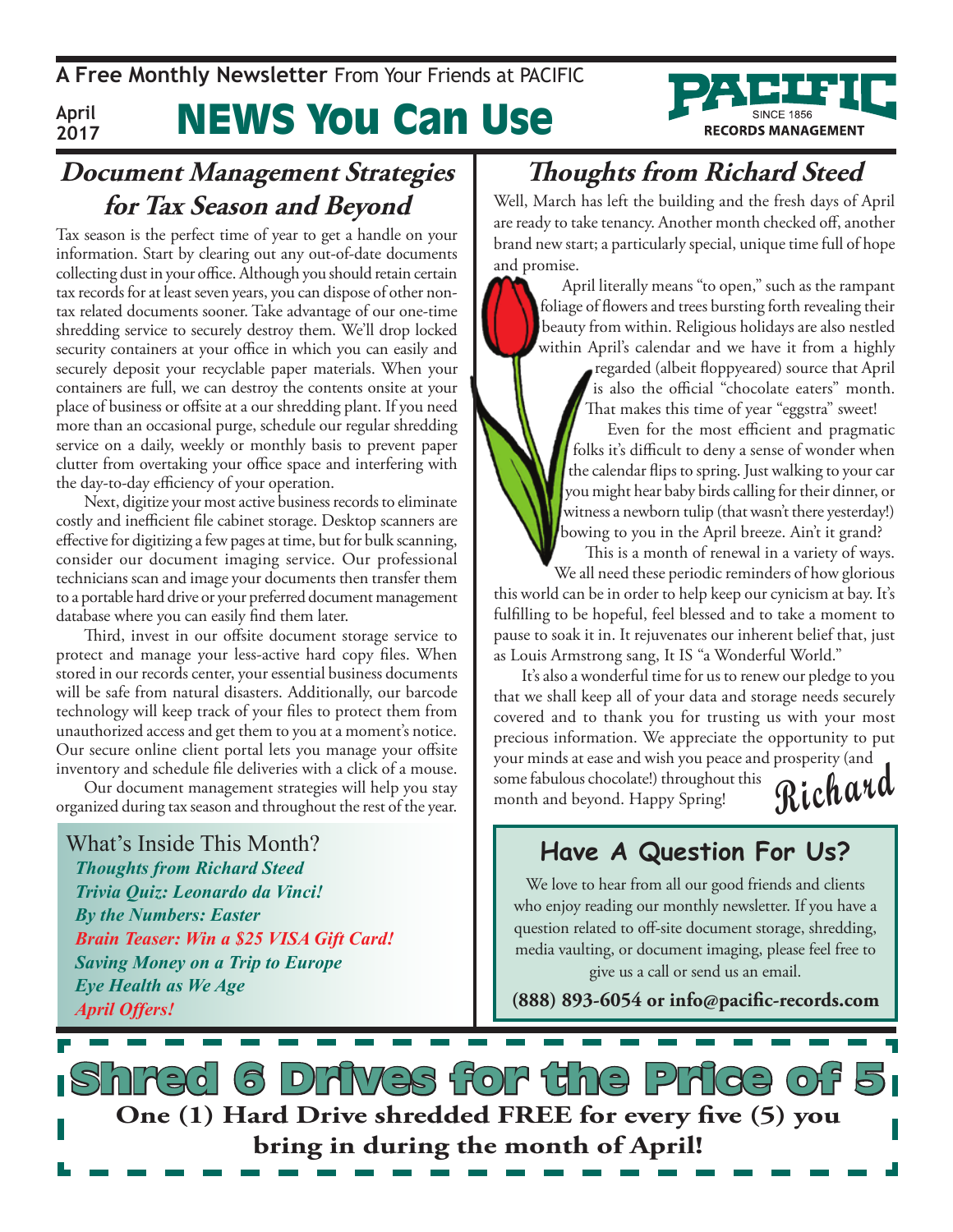**A Free Monthly Newsletter** From Your Friends at PaciFic



#### **April 2017**

# News You Can Use

### **Document Management Strategies for Tax Season and Beyond**

Tax season is the perfect time of year to get a handle on your information. Start by clearing out any out-of-date documents collecting dust in your office. Although you should retain certain tax records for at least seven years, you can dispose of other nontax related documents sooner. Take advantage of our one-time shredding service to securely destroy them. We'll drop locked security containers at your office in which you can easily and securely deposit your recyclable paper materials. When your containers are full, we can destroy the contents onsite at your place of business or offsite at a our shredding plant. If you need more than an occasional purge, schedule our regular shredding service on a daily, weekly or monthly basis to prevent paper clutter from overtaking your office space and interfering with the day-to-day efficiency of your operation.

Next, digitize your most active business records to eliminate costly and inefficient file cabinet storage. Desktop scanners are effective for digitizing a few pages at time, but for bulk scanning, consider our document imaging service. Our professional technicians scan and image your documents then transfer them to a portable hard drive or your preferred document management database where you can easily find them later.

Third, invest in our offsite document storage service to protect and manage your less-active hard copy files. When stored in our records center, your essential business documents will be safe from natural disasters. Additionally, our barcode technology will keep track of your files to protect them from unauthorized access and get them to you at a moment's notice. Our secure online client portal lets you manage your offsite inventory and schedule file deliveries with a click of a mouse.

Our document management strategies will help you stay organized during tax season and throughout the rest of the year.

What's Inside This Month? *Thoughts from Richard Steed Trivia Quiz: Leonardo da Vinci! By the Numbers: Easter Brain Teaser: Win a \$25 VISA Gift Card! Saving Money on a Trip to Europe Eye Health as We Age April Offers!*

### **Thoughts from Richard Steed**

Well, March has left the building and the fresh days of April are ready to take tenancy. Another month checked off, another brand new start; a particularly special, unique time full of hope and promise.

April literally means "to open," such as the rampant foliage of flowers and trees bursting forth revealing their beauty from within. Religious holidays are also nestled within April's calendar and we have it from a highly

regarded (albeit floppyeared) source that April is also the official "chocolate eaters" month. That makes this time of year "eggstra" sweet!

Even for the most efficient and pragmatic folks it's difficult to deny a sense of wonder when the calendar flips to spring. Just walking to your car you might hear baby birds calling for their dinner, or witness a newborn tulip (that wasn't there yesterday!) bowing to you in the April breeze. Ain't it grand?

This is a month of renewal in a variety of ways.

We all need these periodic reminders of how glorious this world can be in order to help keep our cynicism at bay. It's fulfilling to be hopeful, feel blessed and to take a moment to pause to soak it in. It rejuvenates our inherent belief that, just as Louis Armstrong sang, It IS "a Wonderful World."

**Richard** It's also a wonderful time for us to renew our pledge to you that we shall keep all of your data and storage needs securely covered and to thank you for trusting us with your most precious information. We appreciate the opportunity to put your minds at ease and wish you peace and prosperity (and

some fabulous chocolate!) throughout this month and beyond. Happy Spring!

### **Have A Question For Us?**

We love to hear from all our good friends and clients who enjoy reading our monthly newsletter. If you have a question related to off-site document storage, shredding, media vaulting, or document imaging, please feel free to give us a call or send us an email.

**(888) 893-6054 or info@pacific-records.com**

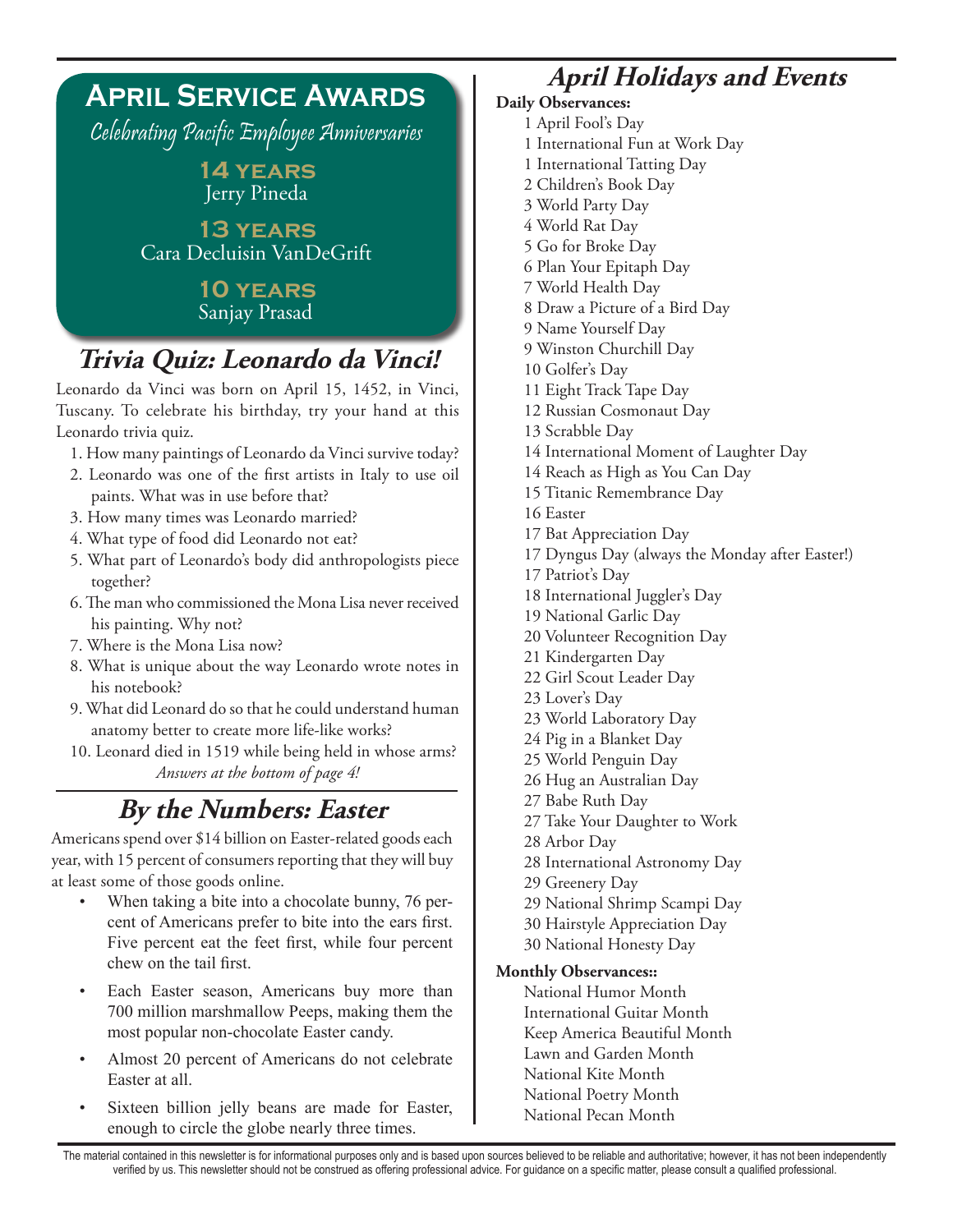### **April Service Awards** Celebrating Pacific Employee Anniversaries **14 years** Jerry Pineda **13 years** Cara Decluisin VanDeGrift **10 years** Sanjay Prasad **Trivia Quiz: Leonardo da Vinci!**

Leonardo da Vinci was born on April 15, 1452, in Vinci, Tuscany. To celebrate his birthday, try your hand at this Leonardo trivia quiz.

- 1. How many paintings of Leonardo da Vinci survive today?
- 2. Leonardo was one of the first artists in Italy to use oil paints. What was in use before that?
- 3. How many times was Leonardo married?
- 4. What type of food did Leonardo not eat?
- 5. What part of Leonardo's body did anthropologists piece together?
- 6. The man who commissioned the Mona Lisa never received his painting. Why not?
- 7. Where is the Mona Lisa now?
- 8. What is unique about the way Leonardo wrote notes in his notebook?
- 9. What did Leonard do so that he could understand human anatomy better to create more life-like works?
- 10. Leonard died in 1519 while being held in whose arms? *Answers at the bottom of page 4!*

### **By the Numbers: Easter**

Americans spend over \$14 billion on Easter-related goods each year, with 15 percent of consumers reporting that they will buy at least some of those goods online.

- When taking a bite into a chocolate bunny, 76 percent of Americans prefer to bite into the ears first. Five percent eat the feet first, while four percent chew on the tail first.
- Each Easter season, Americans buy more than 700 million marshmallow Peeps, making them the most popular non-chocolate Easter candy.
- Almost 20 percent of Americans do not celebrate Easter at all.
- Sixteen billion jelly beans are made for Easter, enough to circle the globe nearly three times.

### **April Holidays and Events**

- **Daily Observances:**
	- 1 April Fool's Day
	- 1 International Fun at Work Day
	- 1 International Tatting Day
	- 2 Children's Book Day
	- 3 World Party Day
	- 4 World Rat Day
	- 5 Go for Broke Day
	- 6 Plan Your Epitaph Day
	- 7 World Health Day
	- 8 Draw a Picture of a Bird Day
	- 9 Name Yourself Day
	- 9 Winston Churchill Day
	- 10 Golfer's Day
	- 11 Eight Track Tape Day
	- 12 Russian Cosmonaut Day
	- 13 Scrabble Day
	- 14 International Moment of Laughter Day
	- 14 Reach as High as You Can Day
	- 15 Titanic Remembrance Day
	- 16 Easter
	- 17 Bat Appreciation Day
	- 17 Dyngus Day (always the Monday after Easter!)
	- 17 Patriot's Day
	- 18 International Juggler's Day
	- 19 National Garlic Day
	- 20 Volunteer Recognition Day
	- 21 Kindergarten Day
	- 22 Girl Scout Leader Day
	- 23 Lover's Day
	- 23 World Laboratory Day
	- 24 Pig in a Blanket Day
	- 25 World Penguin Day
	- 26 Hug an Australian Day
	- 27 Babe Ruth Day
	- 27 Take Your Daughter to Work
	- 28 Arbor Day
	- 28 International Astronomy Day
	- 29 Greenery Day
	- 29 National Shrimp Scampi Day
	- 30 Hairstyle Appreciation Day
	- 30 National Honesty Day

#### **Monthly Observances::**

National Humor Month International Guitar Month Keep America Beautiful Month Lawn and Garden Month National Kite Month National Poetry Month National Pecan Month

The material contained in this newsletter is for informational purposes only and is based upon sources believed to be reliable and authoritative; however, it has not been independently verified by us. This newsletter should not be construed as offering professional advice. For guidance on a specific matter, please consult a qualified professional.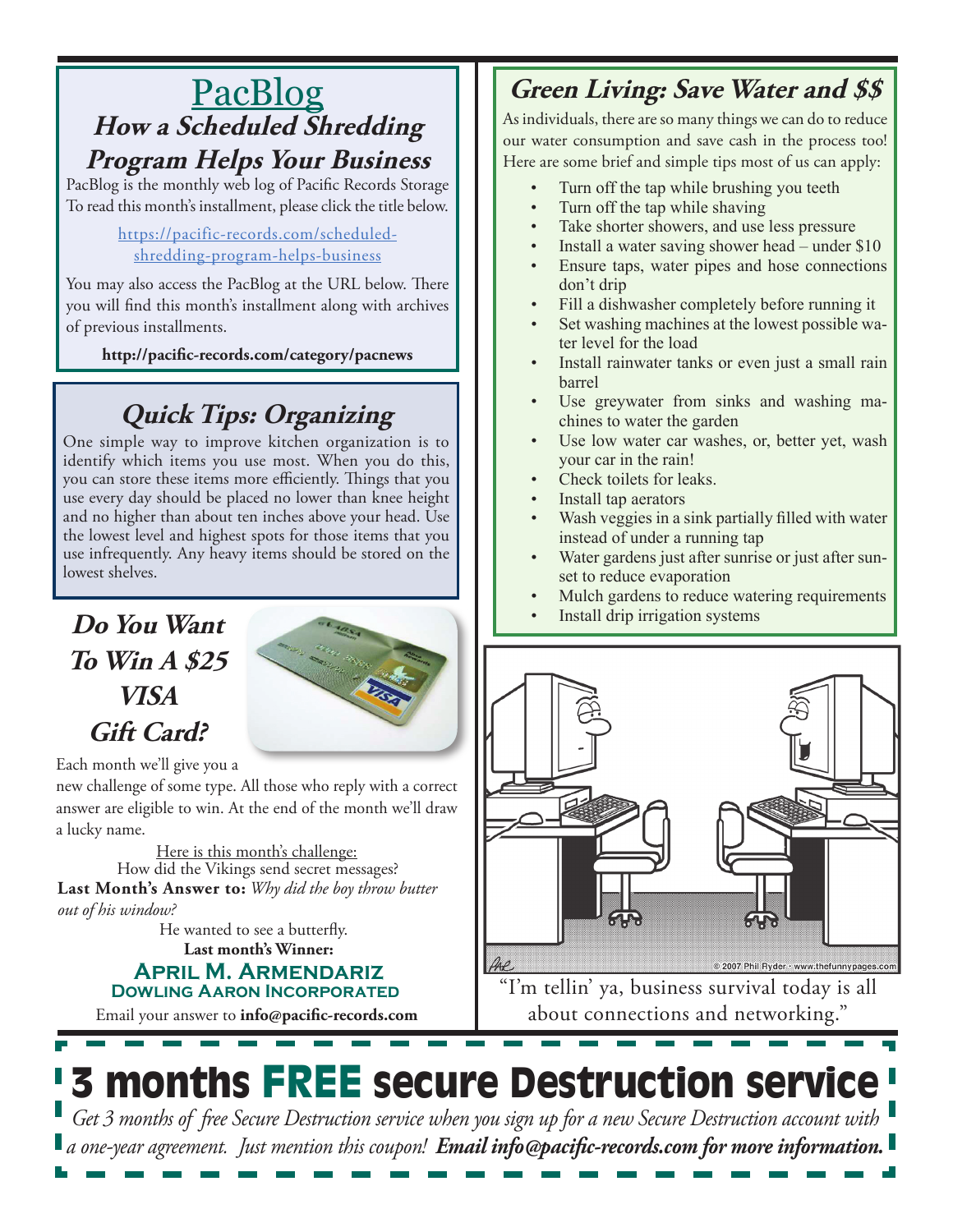### PacBlog **How a Scheduled Shredding Program Helps Your Business**

PacBlog is the monthly web log of Pacific Records Storage To read this month's installment, please click the title below.

#### https://pacific-records.com/scheduledshredding-program-helps-business

You may also access the PacBlog at the URL below. There you will find this month's installment along with archives of previous installments.

**http://pacific-records.com/category/pacnews**

### **Quick Tips: Organizing**

One simple way to improve kitchen organization is to identify which items you use most. When you do this, you can store these items more efficiently. Things that you use every day should be placed no lower than knee height and no higher than about ten inches above your head. Use the lowest level and highest spots for those items that you use infrequently. Any heavy items should be stored on the lowest shelves.

### **Do You Want To Win A \$25 VISA Gift Card?**



Each month we'll give you a

new challenge of some type. All those who reply with a correct answer are eligible to win. At the end of the month we'll draw a lucky name.

Here is this month's challenge: **Last Month's Answer to:** *Why did the boy throw butter out of his window?* How did the Vikings send secret messages?

**Last month's Winner:** He wanted to see a butterfly.

#### **April M. Armendariz Dowling Aaron Incorporated**

Email your answer to **info@pacific-records.com**

### **Green Living: Save Water and \$\$**

As individuals, there are so many things we can do to reduce our water consumption and save cash in the process too! Here are some brief and simple tips most of us can apply:

- Turn off the tap while brushing you teeth
- Turn off the tap while shaving
- Take shorter showers, and use less pressure
- Install a water saving shower head under  $$10$
- Ensure taps, water pipes and hose connections don't drip
- Fill a dishwasher completely before running it
- Set washing machines at the lowest possible water level for the load
- Install rainwater tanks or even just a small rain barrel
- Use greywater from sinks and washing machines to water the garden
- Use low water car washes, or, better yet, wash your car in the rain!
- Check toilets for leaks.
- Install tap aerators
- Wash veggies in a sink partially filled with water instead of under a running tap
- Water gardens just after sunrise or just after sunset to reduce evaporation
- Mulch gardens to reduce watering requirements
- Install drip irrigation systems



"I'm tellin' ya, business survival today is all about connections and networking."

# **3 months FREE secure Destruction service**

*Get 3 months of free Secure Destruction service when you sign up for a new Secure Destruction account with a one-year agreement. Just mention this coupon! Email info@pacific-records.com for more information.*